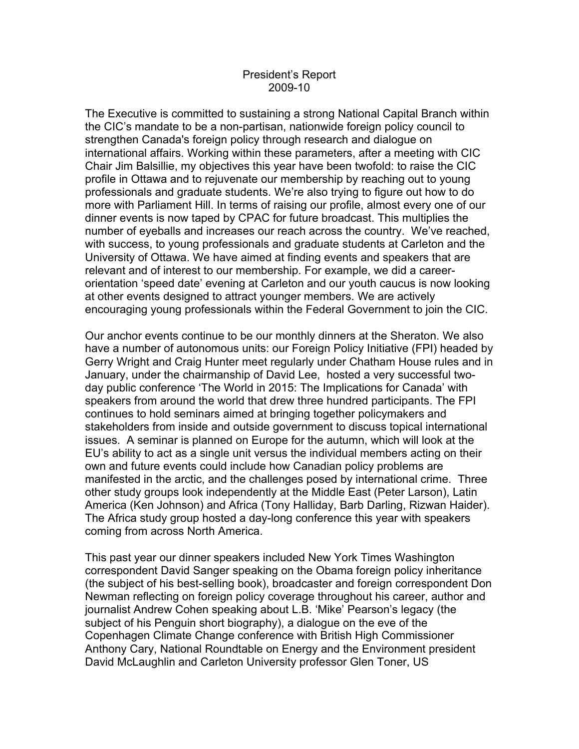## President's Report 2009-10

The Executive is committed to sustaining a strong National Capital Branch within the CIC's mandate to be a non-partisan, nationwide foreign policy council to strengthen Canada's foreign policy through research and dialogue on international affairs. Working within these parameters, after a meeting with CIC Chair Jim Balsillie, my objectives this year have been twofold: to raise the CIC profile in Ottawa and to rejuvenate our membership by reaching out to young professionals and graduate students. We're also trying to figure out how to do more with Parliament Hill. In terms of raising our profile, almost every one of our dinner events is now taped by CPAC for future broadcast. This multiplies the number of eyeballs and increases our reach across the country. We've reached, with success, to young professionals and graduate students at Carleton and the University of Ottawa. We have aimed at finding events and speakers that are relevant and of interest to our membership. For example, we did a careerorientation 'speed date' evening at Carleton and our youth caucus is now looking at other events designed to attract younger members. We are actively encouraging young professionals within the Federal Government to join the CIC.

Our anchor events continue to be our monthly dinners at the Sheraton. We also have a number of autonomous units: our Foreign Policy Initiative (FPI) headed by Gerry Wright and Craig Hunter meet regularly under Chatham House rules and in January, under the chairmanship of David Lee, hosted a very successful twoday public conference 'The World in 2015: The Implications for Canada' with speakers from around the world that drew three hundred participants. The FPI continues to hold seminars aimed at bringing together policymakers and stakeholders from inside and outside government to discuss topical international issues. A seminar is planned on Europe for the autumn, which will look at the EU's ability to act as a single unit versus the individual members acting on their own and future events could include how Canadian policy problems are manifested in the arctic, and the challenges posed by international crime. Three other study groups look independently at the Middle East (Peter Larson), Latin America (Ken Johnson) and Africa (Tony Halliday, Barb Darling, Rizwan Haider). The Africa study group hosted a day-long conference this year with speakers coming from across North America.

This past year our dinner speakers included New York Times Washington correspondent David Sanger speaking on the Obama foreign policy inheritance (the subject of his best-selling book), broadcaster and foreign correspondent Don Newman reflecting on foreign policy coverage throughout his career, author and journalist Andrew Cohen speaking about L.B. 'Mike' Pearson's legacy (the subject of his Penguin short biography), a dialogue on the eve of the Copenhagen Climate Change conference with British High Commissioner Anthony Cary, National Roundtable on Energy and the Environment president David McLaughlin and Carleton University professor Glen Toner, US